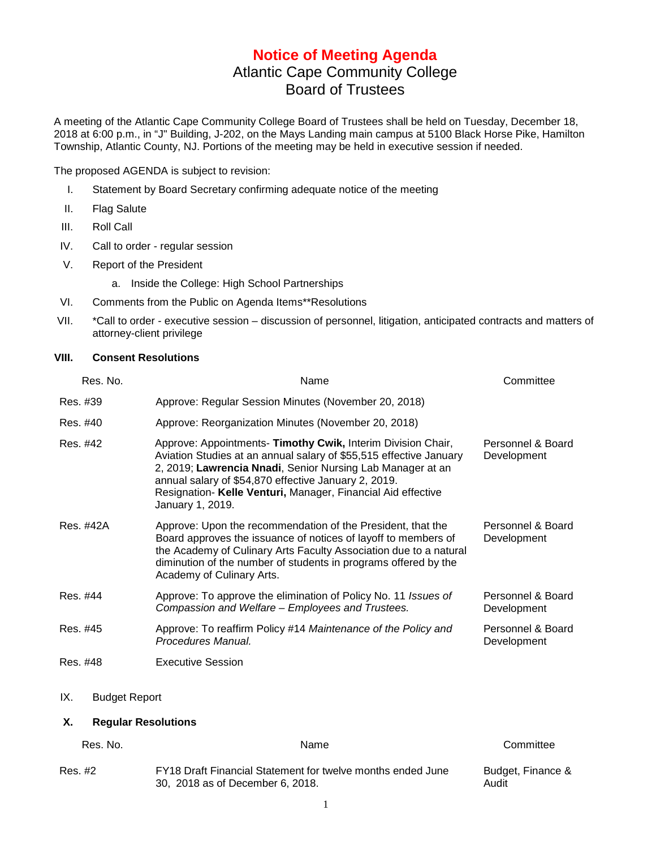## **Notice of Meeting Agenda** Atlantic Cape Community College Board of Trustees

A meeting of the Atlantic Cape Community College Board of Trustees shall be held on Tuesday, December 18, 2018 at 6:00 p.m., in "J" Building, J-202, on the Mays Landing main campus at 5100 Black Horse Pike, Hamilton Township, Atlantic County, NJ. Portions of the meeting may be held in executive session if needed.

The proposed AGENDA is subject to revision:

- I. Statement by Board Secretary confirming adequate notice of the meeting
- II. Flag Salute
- III. Roll Call
- IV. Call to order regular session
- V. Report of the President
	- a. Inside the College: High School Partnerships
- VI. Comments from the Public on Agenda Items\*\*Resolutions
- VII. \*Call to order executive session discussion of personnel, litigation, anticipated contracts and matters of attorney-client privilege

## **VIII. Consent Resolutions**

| Res. No.                         | Name                                                                                                                                                                                                                                                                                                                                         | Committee                        |  |
|----------------------------------|----------------------------------------------------------------------------------------------------------------------------------------------------------------------------------------------------------------------------------------------------------------------------------------------------------------------------------------------|----------------------------------|--|
| Res. #39                         | Approve: Regular Session Minutes (November 20, 2018)                                                                                                                                                                                                                                                                                         |                                  |  |
| Res. #40                         | Approve: Reorganization Minutes (November 20, 2018)                                                                                                                                                                                                                                                                                          |                                  |  |
| Res. #42                         | Approve: Appointments- Timothy Cwik, Interim Division Chair,<br>Aviation Studies at an annual salary of \$55,515 effective January<br>2, 2019; Lawrencia Nnadi, Senior Nursing Lab Manager at an<br>annual salary of \$54,870 effective January 2, 2019.<br>Resignation- Kelle Venturi, Manager, Financial Aid effective<br>January 1, 2019. | Personnel & Board<br>Development |  |
| Res. #42A                        | Approve: Upon the recommendation of the President, that the<br>Board approves the issuance of notices of layoff to members of<br>the Academy of Culinary Arts Faculty Association due to a natural<br>diminution of the number of students in programs offered by the<br>Academy of Culinary Arts.                                           | Personnel & Board<br>Development |  |
| Res. #44                         | Approve: To approve the elimination of Policy No. 11 Issues of<br>Compassion and Welfare - Employees and Trustees.                                                                                                                                                                                                                           | Personnel & Board<br>Development |  |
| Res. #45                         | Approve: To reaffirm Policy #14 Maintenance of the Policy and<br>Procedures Manual.                                                                                                                                                                                                                                                          | Personnel & Board<br>Development |  |
| Res. #48                         | <b>Executive Session</b>                                                                                                                                                                                                                                                                                                                     |                                  |  |
| IX.<br><b>Budget Report</b>      |                                                                                                                                                                                                                                                                                                                                              |                                  |  |
| <b>Regular Resolutions</b><br>Х. |                                                                                                                                                                                                                                                                                                                                              |                                  |  |

| Res. No. | Name                                                                                            | Committee                  |
|----------|-------------------------------------------------------------------------------------------------|----------------------------|
| Res. #2  | FY18 Draft Financial Statement for twelve months ended June<br>30, 2018 as of December 6, 2018. | Budget, Finance &<br>Audit |